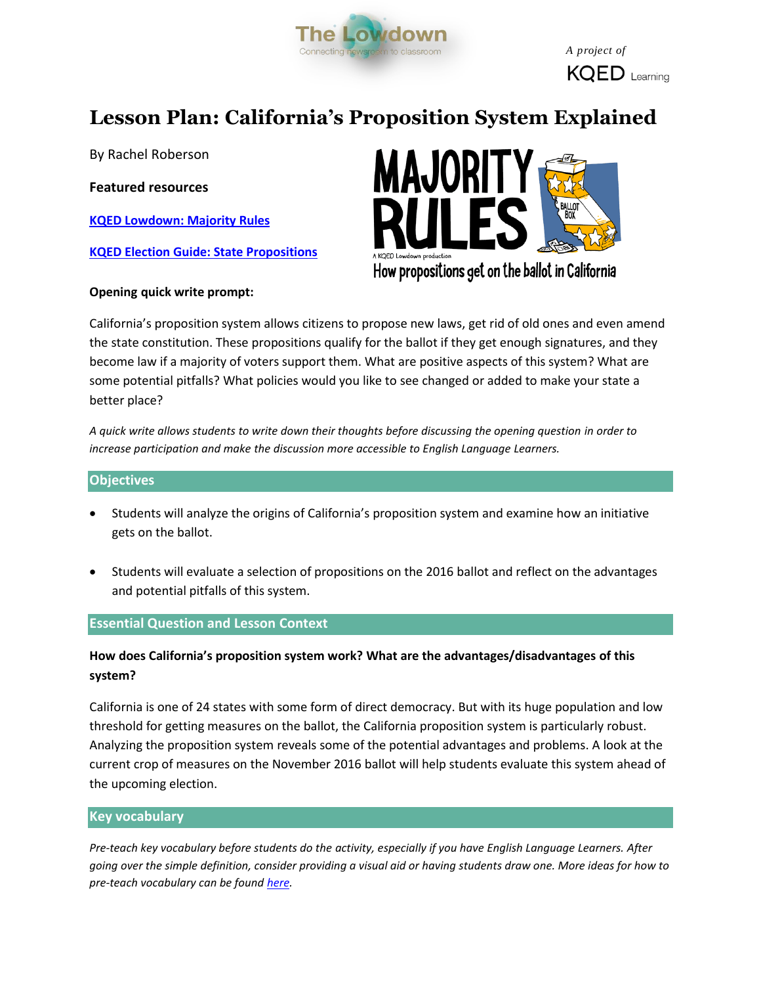

 $KQED$  Learning

# **Lesson Plan: California's Proposition System Explained**

By Rachel Roberson

**Featured resources**

**[KQED Lowdown: Majority Rules](https://wp.me/p681tQ-6hh)**

**[KQED Election Guide: State Propositions](http://elections.kqed.org/measures)**



How propositions get on the ballot in California

## **Opening quick write prompt:**

California's proposition system allows citizens to propose new laws, get rid of old ones and even amend the state constitution. These propositions qualify for the ballot if they get enough signatures, and they become law if a majority of voters support them. What are positive aspects of this system? What are some potential pitfalls? What policies would you like to see changed or added to make your state a better place?

*A quick write allows students to write down their thoughts before discussing the opening question in order to increase participation and make the discussion more accessible to English Language Learners.* 

## **Objectives**

- Students will analyze the origins of California's proposition system and examine how an initiative gets on the ballot.
- Students will evaluate a selection of propositions on the 2016 ballot and reflect on the advantages and potential pitfalls of this system.

## **Essential Question and Lesson Context**

## **How does California's proposition system work? What are the advantages/disadvantages of this system?**

California is one of 24 states with some form of direct democracy. But with its huge population and low threshold for getting measures on the ballot, the California proposition system is particularly robust. Analyzing the proposition system reveals some of the potential advantages and problems. A look at the current crop of measures on the November 2016 ballot will help students evaluate this system ahead of the upcoming election.

## **Key vocabulary**

*Pre-teach key vocabulary before students do the activity, especially if you have English Language Learners. After going over the simple definition, consider providing a visual aid or having students draw one. More ideas for how to pre-teach vocabulary can be found [here.](http://www.colorincolorado.org/article/vocabulary-development)*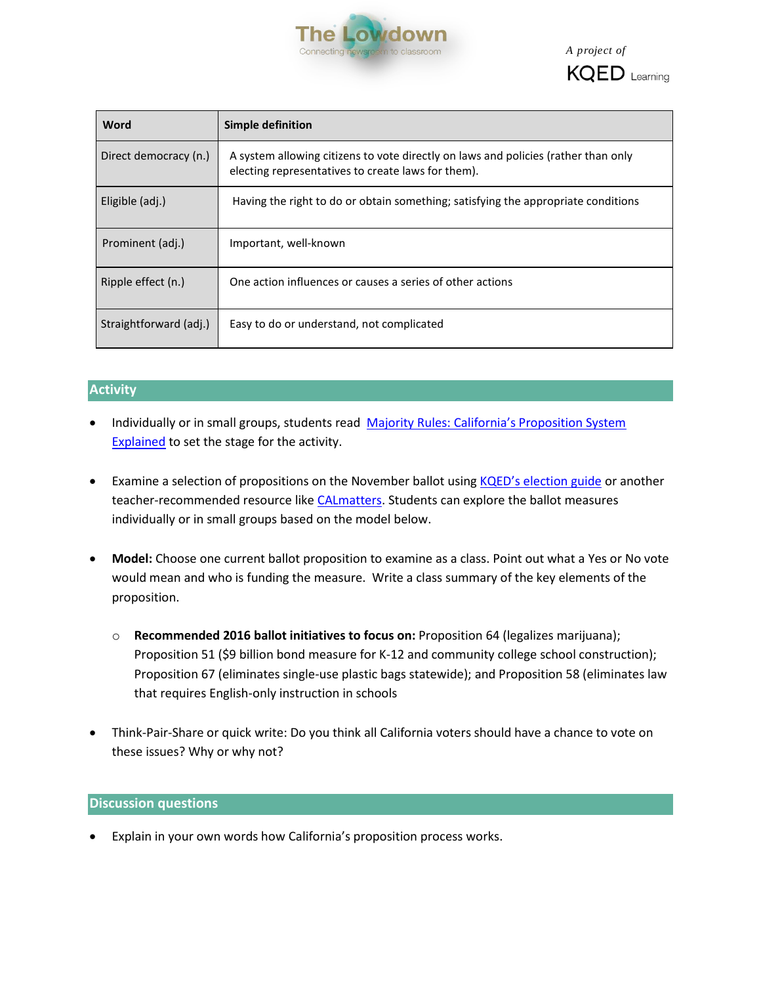

 *A project of*



| Word                   | Simple definition                                                                                                                        |
|------------------------|------------------------------------------------------------------------------------------------------------------------------------------|
| Direct democracy (n.)  | A system allowing citizens to vote directly on laws and policies (rather than only<br>electing representatives to create laws for them). |
| Eligible (adj.)        | Having the right to do or obtain something; satisfying the appropriate conditions                                                        |
| Prominent (adj.)       | Important, well-known                                                                                                                    |
| Ripple effect (n.)     | One action influences or causes a series of other actions                                                                                |
| Straightforward (adj.) | Easy to do or understand, not complicated                                                                                                |

## **Activity**

- Individually or in small groups, students read Majority Rules: California's Proposition System [Explained](https://wp.me/p681tQ-6hh) to set the stage for the activity.
- **Examine a selection of propositions on the November ballot using [KQED's election guide](http://elections.kqed.org/measures) or another** teacher-recommended resource like [CALmatters.](https://calmatters.org/elections/) Students can explore the ballot measures individually or in small groups based on the model below.
- **Model:** Choose one current ballot proposition to examine as a class. Point out what a Yes or No vote would mean and who is funding the measure. Write a class summary of the key elements of the proposition.
	- o **Recommended 2016 ballot initiatives to focus on:** Proposition 64 (legalizes marijuana); Proposition 51 (\$9 billion bond measure for K-12 and community college school construction); Proposition 67 (eliminates single-use plastic bags statewide); and Proposition 58 (eliminates law that requires English-only instruction in schools
- Think-Pair-Share or quick write: Do you think all California voters should have a chance to vote on these issues? Why or why not?

## **Discussion questions**

Explain in your own words how California's proposition process works.